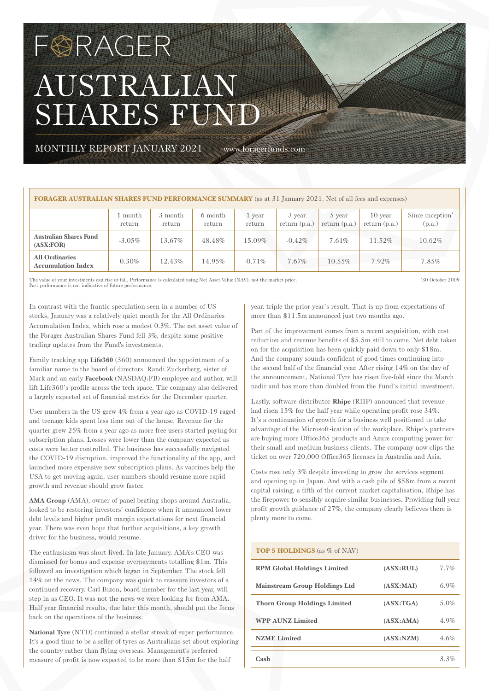# FORAGER AUSTRALIAN SHARES FUND

MONTHLY REPORT JANUARY 2021 www.foragerfunds.com

# **FORAGER AUSTRALIAN SHARES FUND PERFORMANCE SUMMARY** (as at 31 January 2021. Net of all fees and expenses)

|                                                    | month<br>return | 3 month<br>return | 6 month<br>return | vear<br>return | 3 year<br>return $(p.a.)$ | 5 year<br>return $(p.a.)$ | 10 year<br>return $(p.a.)$ | Since inception <sup>*</sup><br>(p.a.) |
|----------------------------------------------------|-----------------|-------------------|-------------------|----------------|---------------------------|---------------------------|----------------------------|----------------------------------------|
| <b>Australian Shares Fund</b><br>(ASK:FOR)         | $-3.05\%$       | 13.67%            | 48.48%            | 15.09%         | $-0.42\%$                 | 7.61%                     | 11.52%                     | 10.62%                                 |
| <b>All Ordinaries</b><br><b>Accumulation Index</b> | $0.30\%$        | 12.43%            | 14.95%            | $-0.71\%$      | $7.67\%$                  | $10.55\%$                 | $7.92\%$                   | 7.85%                                  |

The value of your investments can rise or fall. Performance is calculated using Net Asset Value (NAV), not the market price. Past performance is not indicative of future performance.

\* 30 October 2009

In contrast with the frantic speculation seen in a number of US stocks, January was a relatively quiet month for the All Ordinaries Accumulation Index, which rose a modest 0.3%. The net asset value of the Forager Australian Shares Fund fell 3%, despite some positive trading updates from the Fund's investments.

Family tracking app **Life360** (360) announced the appointment of a familiar name to the board of directors. Randi Zuckerberg, sister of Mark and an early **Facebook** (NASDAQ:FB) employee and author, will lift Life360's profile across the tech space. The company also delivered a largely expected set of financial metrics for the December quarter.

User numbers in the US grew 4% from a year ago as COVID-19 raged and teenage kids spent less time out of the house. Revenue for the quarter grew 25% from a year ago as more free users started paying for subscription plans. Losses were lower than the company expected as costs were better controlled. The business has successfully navigated the COVID-19 disruption, improved the functionality of the app, and launched more expensive new subscription plans. As vaccines help the USA to get moving again, user numbers should resume more rapid growth and revenue should grow faster.

**AMA Group** (AMA), owner of panel beating shops around Australia, looked to be restoring investors' confidence when it announced lower debt levels and higher profit margin expectations for next financial year. There was even hope that further acquisitions, a key growth driver for the business, would resume.

The enthusiasm was short-lived. In late January, AMA's CEO was dismissed for bonus and expense overpayments totalling \$1m. This followed an investigation which began in September. The stock fell 14% on the news. The company was quick to reassure investors of a continued recovery. Carl Bizon, board member for the last year, will step in as CEO. It was not the news we were looking for from AMA. Half year financial results, due later this month, should put the focus back on the operations of the business.

**National Tyre** (NTD) continued a stellar streak of super performance. It's a good time to be a seller of tyres as Australians set about exploring the country rather than flying overseas. Management's preferred measure of profit is now expected to be more than \$15m for the half

year, triple the prior year's result. That is up from expectations of more than \$11.5m announced just two months ago.

Part of the improvement comes from a recent acquisition, with cost reduction and revenue benefits of \$5.5m still to come. Net debt taken on for the acquisition has been quickly paid down to only \$18m. And the company sounds confident of good times continuing into the second half of the financial year. After rising 14% on the day of the announcement, National Tyre has risen five-fold since the March nadir and has more than doubled from the Fund's initial investment.

Lastly, software distributor **Rhipe** (RHP) announced that revenue had risen 15% for the half year while operating profit rose 34%. It's a continuation of growth for a business well positioned to take advantage of the Microsoft-ication of the workplace. Rhipe's partners are buying more Office365 products and Azure computing power for their small and medium business clients. The company now clips the ticket on over 720,000 Office365 licenses in Australia and Asia.

Costs rose only 3% despite investing to grow the services segment and opening up in Japan. And with a cash pile of \$58m from a recent capital raising, a fifth of the current market capitalisation, Rhipe has the firepower to sensibly acquire similar businesses. Providing full year profit growth guidance of 27%, the company clearly believes there is plenty more to come.

# **TOP 5 HOLDINGS** (as % of NAV)

| <b>RPM Global Holdings Limited</b>   | (ASK: RULE) | $7.7\%$ |
|--------------------------------------|-------------|---------|
| <b>Mainstream Group Holdings Ltd</b> | (ASK:MAI)   | 6.9%    |
| <b>Thorn Group Holdings Limited</b>  | (ASK: TGA)  | 5.0%    |
| <b>WPP AUNZ Limited</b>              | (ASK:AMA)   | 4.9%    |
| <b>NZME</b> Limited                  | (ASK:NZM)   | 4.6%    |
| Cash                                 |             | 3.3%    |